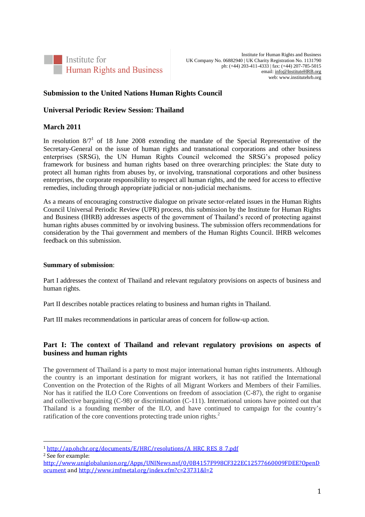

Institute for Human Rights and Business UK Company No. 06882940 | UK Charity Registration No. 1131790 ph: (+44) 203-411-4333 | fax: (+44) 207-785-5015 email[: info@InstituteHRB.org](mailto:info@InstituteHRB.org) web: www.institutehrb.org

## **Submission to the United Nations Human Rights Council**

#### **Universal Periodic Review Session: Thailand**

#### **March 2011**

In resolution  $8/7<sup>1</sup>$  of 18 June 2008 extending the mandate of the Special Representative of the Secretary-General on the issue of human rights and transnational corporations and other business enterprises (SRSG), the UN Human Rights Council welcomed the SRSG's proposed policy framework for business and human rights based on three overarching principles: the State duty to protect all human rights from abuses by, or involving, transnational corporations and other business enterprises, the corporate responsibility to respect all human rights, and the need for access to effective remedies, including through appropriate judicial or non-judicial mechanisms.

As a means of encouraging constructive dialogue on private sector-related issues in the Human Rights Council Universal Periodic Review (UPR) process, this submission by the Institute for Human Rights and Business (IHRB) addresses aspects of the government of Thailand's record of protecting against human rights abuses committed by or involving business. The submission offers recommendations for consideration by the Thai government and members of the Human Rights Council. IHRB welcomes feedback on this submission.

#### **Summary of submission**:

Part I addresses the context of Thailand and relevant regulatory provisions on aspects of business and human rights.

Part II describes notable practices relating to business and human rights in Thailand.

Part III makes recommendations in particular areas of concern for follow-up action.

# **Part I: The context of Thailand and relevant regulatory provisions on aspects of business and human rights**

The government of Thailand is a party to most major international human rights instruments. Although the country is an important destination for migrant workers, it has not ratified the International Convention on the Protection of the Rights of all Migrant Workers and Members of their Families. Nor has it ratified the ILO Core Conventions on freedom of association (C-87), the right to organise and collective bargaining (C-98) or discrimination (C-111). International unions have pointed out that Thailand is a founding member of the ILO, and have continued to campaign for the country's ratification of the core conventions protecting trade union rights.<sup>2</sup>

l

<sup>1</sup> [http://ap.ohchr.org/documents/E/HRC/resolutions/A\\_HRC\\_RES\\_8\\_7.pdf](http://ap.ohchr.org/documents/E/HRC/resolutions/A_HRC_RES_8_7.pdf)

<sup>2</sup> See for example:

[http://www.uniglobalunion.org/Apps/UNINews.nsf/0/0B4157F998CF322EC12577660009FDEE?OpenD](http://www.uniglobalunion.org/Apps/UNINews.nsf/0/0B4157F998CF322EC12577660009FDEE?OpenDocument) [ocument](http://www.uniglobalunion.org/Apps/UNINews.nsf/0/0B4157F998CF322EC12577660009FDEE?OpenDocument) an[d http://www.imfmetal.org/index.cfm?c=23731&l=2](http://www.imfmetal.org/index.cfm?c=23731&l=2)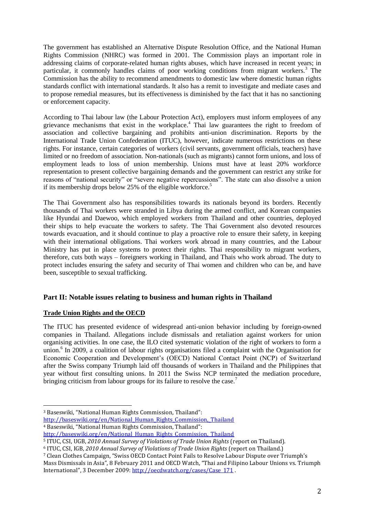The government has established an Alternative Dispute Resolution Office, and the National Human Rights Commission (NHRC) was formed in 2001. The Commission plays an important role in addressing claims of corporate-related human rights abuses, which have increased in recent years; in particular, it commonly handles claims of poor working conditions from migrant workers.<sup>3</sup> The Commission has the ability to recommend amendments to domestic law where domestic human rights standards conflict with international standards. It also has a remit to investigate and mediate cases and to propose remedial measures, but its effectiveness is diminished by the fact that it has no sanctioning or enforcement capacity.

According to Thai labour law (the Labour Protection Act), employers must inform employees of any grievance mechanisms that exist in the workplace.<sup>4</sup> Thai law guarantees the right to freedom of association and collective bargaining and prohibits anti-union discrimination. Reports by the International Trade Union Confederation (ITUC), however, indicate numerous restrictions on these rights. For instance, certain categories of workers (civil servants, government officials, teachers) have limited or no freedom of association. Non-nationals (such as migrants) cannot form unions, and loss of employment leads to loss of union membership. Unions must have at least 20% workforce representation to present collective bargaining demands and the government can restrict any strike for reasons of "national security" or "severe negative repercussions". The state can also dissolve a union if its membership drops below 25% of the eligible workforce.<sup>5</sup>

The Thai Government also has responsibilities towards its nationals beyond its borders. Recently thousands of Thai workers were stranded in Libya during the armed conflict, and Korean companies like Hyundai and Daewoo, which employed workers from Thailand and other countries, deployed their ships to help evacuate the workers to safety. The Thai Government also devoted resources towards evacuation, and it should continue to play a proactive role to ensure their safety, in keeping with their international obligations. Thai workers work abroad in many countries, and the Labour Ministry has put in place systems to protect their rights. Thai responsibility to migrant workers, therefore, cuts both ways – foreigners working in Thailand, and Thais who work abroad. The duty to protect includes ensuring the safety and security of Thai women and children who can be, and have been, susceptible to sexual trafficking.

## **Part II: Notable issues relating to business and human rights in Thailand**

## **Trade Union Rights and the OECD**

The ITUC has presented evidence of widespread anti-union behavior including by foreign-owned companies in Thailand. Allegations include dismissals and retaliation against workers for union organising activities. In one case, the ILO cited systematic violation of the right of workers to form a union.<sup>6</sup> In 2009, a coalition of labour rights organisations filed a complaint with the Organisation for Economic Cooperation and Development's (OECD) National Contact Point (NCP) of Switzerland after the Swiss company Triumph laid off thousands of workers in Thailand and the Philippines that year without first consulting unions. In 2011 the Swiss NCP terminated the mediation procedure, bringing criticism from labour groups for its failure to resolve the case.<sup>7</sup>

[http://baseswiki.org/en/National\\_Human\\_Rights\\_Commission,\\_Thailand](http://baseswiki.org/en/National_Human_Rights_Commission,_Thailand) <sup>4</sup> Baseswiki, "National Human Rights Commission, Thailand":

 $\overline{a}$ <sup>3</sup> Baseswiki, "National Human Rights Commission, Thailand":

[http://baseswiki.org/en/National\\_Human\\_Rights\\_Commission,\\_Thailand](http://baseswiki.org/en/National_Human_Rights_Commission,_Thailand)

<sup>5</sup> ITUC, CSI, UGB, *2010 Annual Survey of Violations of Trade Union Rights* (report on Thailand).

<sup>6</sup> ITUC, CSI, IGB, *2010 Annual Survey of Violations of Trade Union Rights* (report on Thailand.)

<sup>7</sup> Clean Clothes Campaign, "Swiss OECD Contact Point Fails to Resolve Labour Dispute over Triumph's

Mass Dismissals in Asia", 8 February 2011 and OECD Watch, "Thai and Filipino Labour Unions vs. Triumph International", 3 December 2009: [http://oecdwatch.org/cases/Case\\_171](http://oecdwatch.org/cases/Case_171).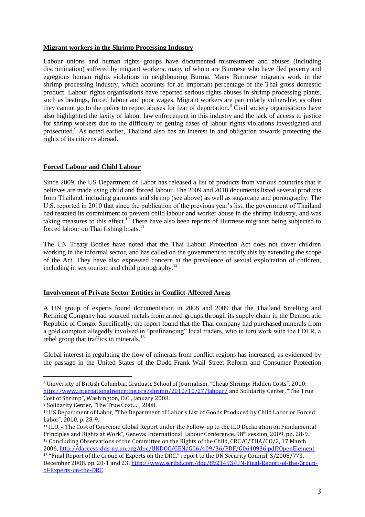#### **Migrant workers in the Shrimp Processing Industry**

Labour unions and human rights groups have documented mistreatment and abuses (including discrimination) suffered by migrant workers, many of whom are Burmese who have fled poverty and egregious human rights violations in neighbouring Burma. Many Burmese migrants work in the shrimp processing industry, which accounts for an important percentage of the Thai gross domestic product. Labour rights organisations have reported serious rights abuses in shrimp processing plants, such as beatings, forced labour and poor wages. Migrant workers are particularly vulnerable, as often they cannot go to the police to report abuses for fear of deportation.<sup>8</sup> Civil society organisations have also highlighted the laxity of labour law enforcement in this industry and the lack of access to justice for shrimp workers due to the difficulty of getting cases of labour rights violations investigated and prosecuted.<sup>9</sup> As noted earlier, Thailand also has an interest in and obligation towards protecting the rights of its citizens abroad.

#### **Forced Labour and Child Labour**

Since 2009, the US Department of Labor has released a list of products from various countries that it believes are made using child and forced labour. The 2009 and 2010 documents listed several products from Thailand, including garments and shrimp (see above) as well as sugarcane and pornography. The U.S. reported in 2010 that since the publication of the previous year's list, the government of Thailand had restated its commitment to prevent child labour and worker abuse in the shrimp industry, and was taking measures to this effect.<sup>10</sup> There have also been reports of Burmese migrants being subjected to forced labour on Thai fishing boats.<sup>11</sup>

The UN Treaty Bodies have noted that the Thai Labour Protection Act does not cover children working in the informal sector, and has called on the government to rectify this by extending the scope of the Act. They have also expressed concern at the prevalence of sexual exploitation of children, including in sex tourism and child pornography. $^{12}$ 

## **Involvement of Private Sector Entities in Conflict-Affected Areas**

A UN group of experts found documentation in 2008 and 2009 that the Thailand Smelting and Refining Company had sourced metals from armed groups through its supply chain in the Democratic Republic of Congo. Specifically, the report found that the Thai company had purchased minerals from a gold comptoir allegedly involved in "prefinancing" local traders, who in turn work with the FDLR, a rebel group that traffics in minerals.<sup>13</sup>

Global interest in regulating the flow of minerals from conflict regions has increased, as evidenced by the passage in the United States of the Dodd-Frank Wall Street Reform and Consumer Protection

 $\overline{a}$ 

<sup>8</sup> University of British Columbia, Graduate School of Journalism, "Cheap Shrimp: Hidden Costs", 2010: <http://www.internationalreporting.org/shrimp/2010/10/27/labour/> and Solidarity Center, "The True Cost of Shrimp", Washington, D.C., January 2008.

<sup>9</sup> Solidarity Center, "The True Cost…", 2008.

<sup>10</sup> US Department of Labor, "The Department of Labor's List of Goods Produced by Child Labor or Forced Labor", 2010, p. 28-9.

<sup>11</sup> ILO, « The Cost of Coercion: Global Report under the Follow-up to the ILO Declaration on Fundamental Principles and Rights at Work", Geneva: International Labour Conference, 98th session, 2009, pp. 28-9. <sup>12</sup> Concluding Observations of the Committee on the Rights of the Child, CRC/C/THA/CO/2, 17 March 2006,<http://daccess-dds-ny.un.org/doc/UNDOC/GEN/G06/409/36/PDF/G0640936.pdf?OpenElement> <sup>13</sup> "Final Report of the Group of Experts on the DRC," report to the UN Security Council, S/2008/773, December 2008, pp. 20-1 and 23[: http://www.scribd.com/doc/8921493/UN-Final-Report-of-the-Group](http://www.scribd.com/doc/8921493/UN-Final-Report-of-the-Group-of-Experts-on-the-DRC)[of-Experts-on-the-DRC](http://www.scribd.com/doc/8921493/UN-Final-Report-of-the-Group-of-Experts-on-the-DRC)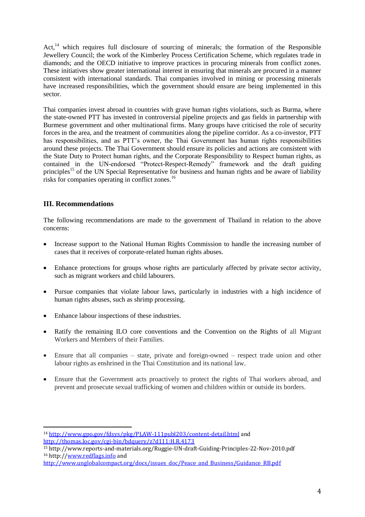Act,<sup>14</sup> which requires full disclosure of sourcing of minerals; the formation of the Responsible Jewellery Council; the work of the Kimberley Process Certification Scheme, which regulates trade in diamonds; and the OECD initiative to improve practices in procuring minerals from conflict zones. These initiatives show greater international interest in ensuring that minerals are procured in a manner consistent with international standards. Thai companies involved in mining or processing minerals have increased responsibilities, which the government should ensure are being implemented in this sector.

Thai companies invest abroad in countries with grave human rights violations, such as Burma, where the state-owned PTT has invested in controversial pipeline projects and gas fields in partnership with Burmese government and other multinational firms. Many groups have criticised the role of security forces in the area, and the treatment of communities along the pipeline corridor. As a co-investor, PTT has responsibilities, and as PTT's owner, the Thai Government has human rights responsibilities around these projects. The Thai Government should ensure its policies and actions are consistent with the State Duty to Protect human rights, and the Corporate Responsibility to Respect human rights, as contained in the UN-endorsed "Protect-Respect-Remedy" framework and the draft guiding principles<sup>15</sup> of the UN Special Representative for business and human rights and be aware of liability risks for companies operating in conflict zones.<sup>16</sup>

# **III. Recommendations**

 $\overline{a}$ 

The following recommendations are made to the government of Thailand in relation to the above concerns:

- Increase support to the National Human Rights Commission to handle the increasing number of cases that it receives of corporate-related human rights abuses.
- Enhance protections for groups whose rights are particularly affected by private sector activity, such as migrant workers and child labourers.
- Pursue companies that violate labour laws, particularly in industries with a high incidence of human rights abuses, such as shrimp processing.
- Enhance labour inspections of these industries.
- Ratify the remaining ILO core conventions and the Convention on the Rights of all Migrant Workers and Members of their Families.
- Ensure that all companies state, private and foreign-owned respect trade union and other labour rights as enshrined in the Thai Constitution and its national law.
- Ensure that the Government acts proactively to protect the rights of Thai workers abroad, and prevent and prosecute sexual trafficking of women and children within or outside its borders.

<sup>14</sup> <http://www.gpo.gov/fdsys/pkg/PLAW-111publ203/content-detail.html> and

<http://thomas.loc.gov/cgi-bin/bdquery/z?d111:H.R.4173>

<sup>15</sup> http://www.reports-and-materials.org/Ruggie-UN-draft-Guiding-Principles-22-Nov-2010.pdf <sup>16</sup> http:/[/www.redflags.info](http://www.redflags.info/) and

[http://www.unglobalcompact.org/docs/issues\\_doc/Peace\\_and\\_Business/Guidance\\_RB.pdf](http://www.unglobalcompact.org/docs/issues_doc/Peace_and_Business/Guidance_RB.pdf)